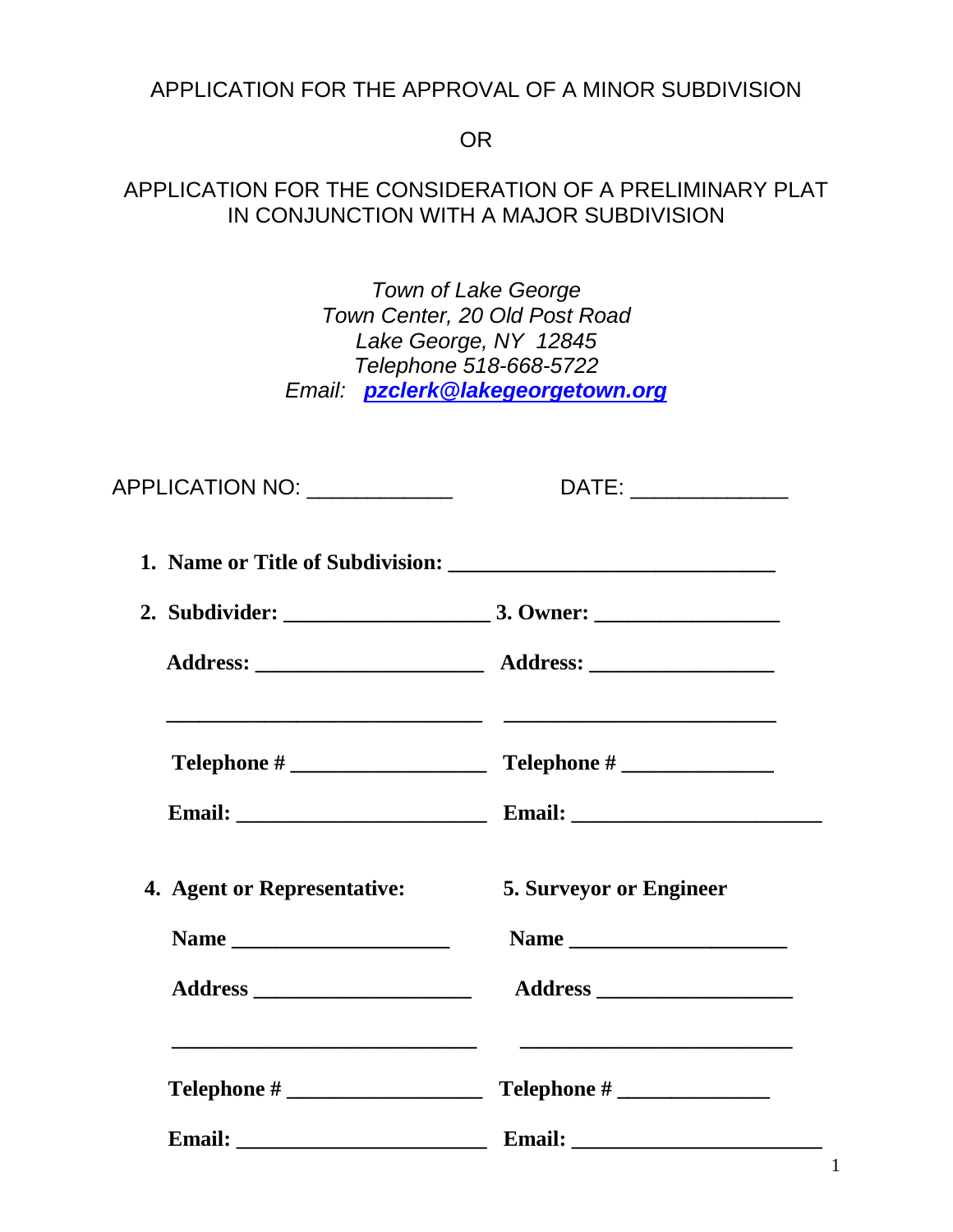### APPLICATION FOR THE APPROVAL OF A MINOR SUBDIVISION

# OR

## APPLICATION FOR THE CONSIDERATION OF A PRELIMINARY PLAT IN CONJUNCTION WITH A MAJOR SUBDIVISION

*Town of Lake George Town Center, 20 Old Post Road Lake George, NY 12845 Telephone 518-668-5722 Email: [pzclerk@lakegeorgetown.org](mailto:pzclerk@lakegeorgetown.org)*

| APPLICATION NO: _____________ | DATE: ______________           |  |
|-------------------------------|--------------------------------|--|
|                               |                                |  |
|                               |                                |  |
|                               |                                |  |
|                               |                                |  |
|                               |                                |  |
| 4. Agent or Representative:   | <b>5. Surveyor or Engineer</b> |  |
|                               |                                |  |
|                               |                                |  |
|                               |                                |  |
|                               |                                |  |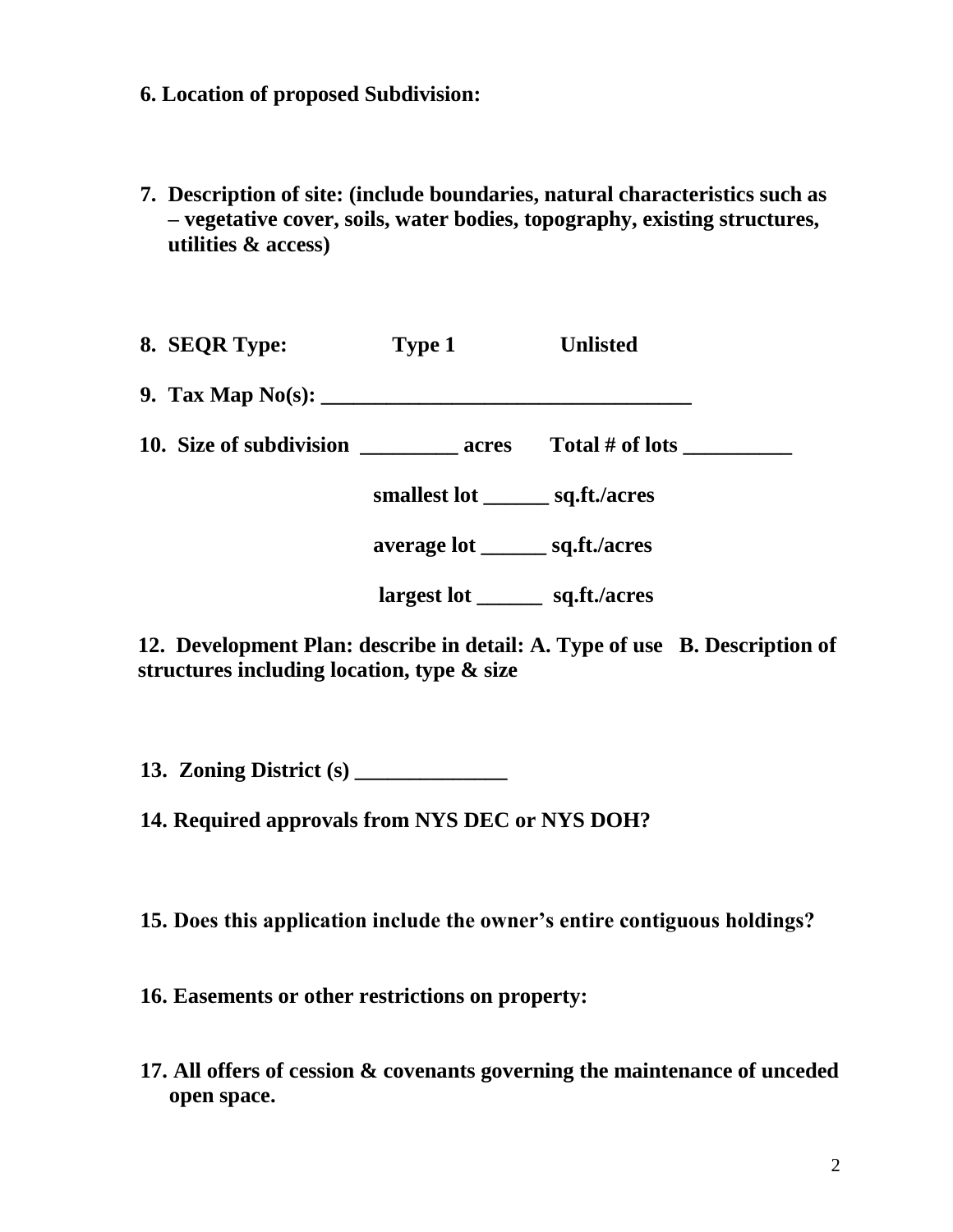### **6. Location of proposed Subdivision:**

**7. Description of site: (include boundaries, natural characteristics such as – vegetative cover, soils, water bodies, topography, existing structures, utilities & access)**

| 8. SEQR Type:                 | <b>Type 1</b>                      | <b>Unlisted</b> |  |
|-------------------------------|------------------------------------|-----------------|--|
|                               |                                    |                 |  |
| 10. Size of subdivision acres |                                    | Total # of lots |  |
|                               | smallest lot _______ sq.ft./acres  |                 |  |
|                               | average lot _________ sq.ft./acres |                 |  |
|                               | largest lot                        | sq.ft./acres    |  |

**12. Development Plan: describe in detail: A. Type of use B. Description of structures including location, type & size**

**13. Zoning District (s) \_\_\_\_\_\_\_\_\_\_\_\_\_\_**

**14. Required approvals from NYS DEC or NYS DOH?**

**15. Does this application include the owner's entire contiguous holdings?**

**16. Easements or other restrictions on property:** 

**17. All offers of cession & covenants governing the maintenance of unceded open space.**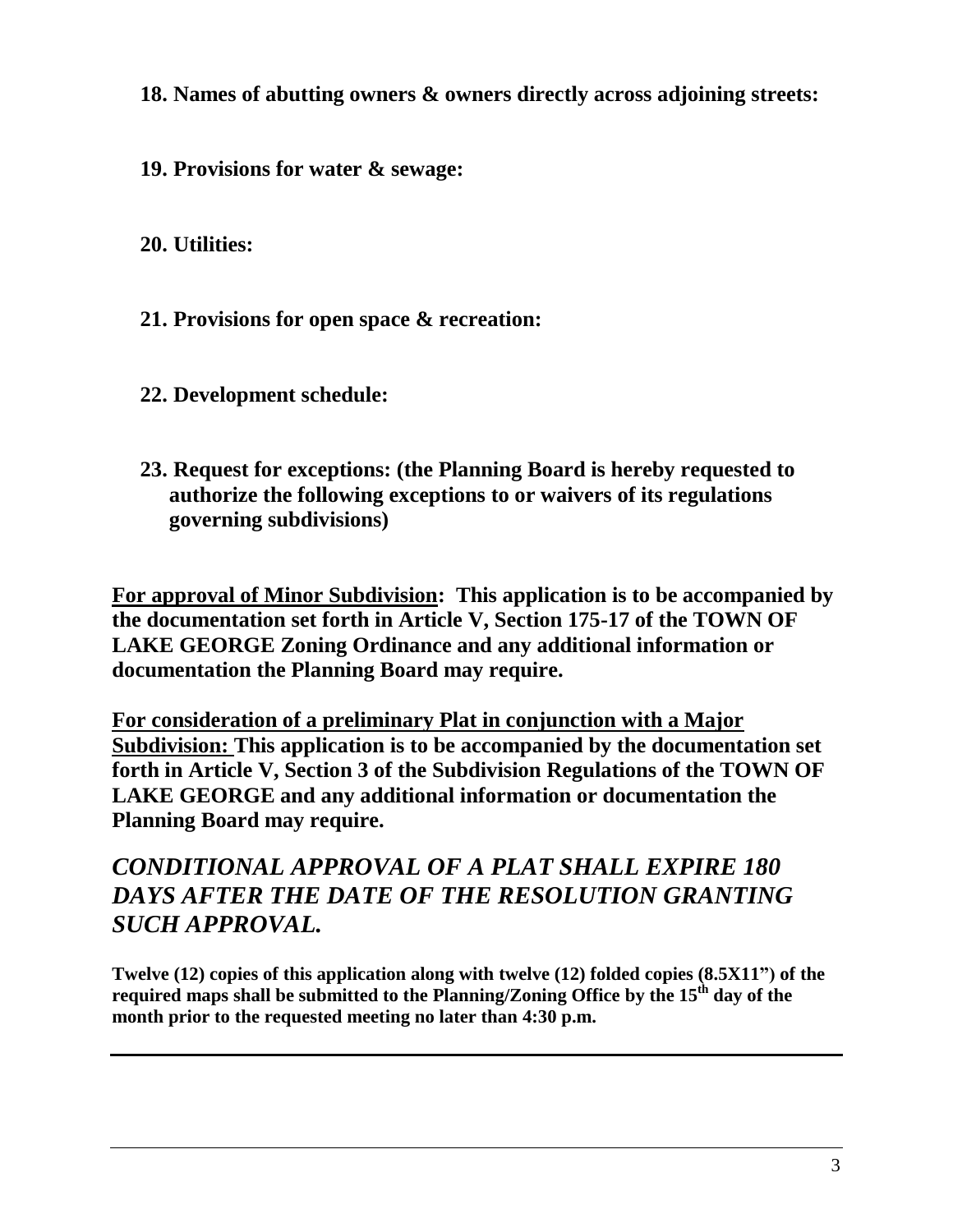**18. Names of abutting owners & owners directly across adjoining streets:**

**19. Provisions for water & sewage:**

**20. Utilities:**

- **21. Provisions for open space & recreation:**
- **22. Development schedule:**
- **23. Request for exceptions: (the Planning Board is hereby requested to authorize the following exceptions to or waivers of its regulations governing subdivisions)**

**For approval of Minor Subdivision: This application is to be accompanied by the documentation set forth in Article V, Section 175-17 of the TOWN OF LAKE GEORGE Zoning Ordinance and any additional information or documentation the Planning Board may require.**

**For consideration of a preliminary Plat in conjunction with a Major Subdivision: This application is to be accompanied by the documentation set forth in Article V, Section 3 of the Subdivision Regulations of the TOWN OF LAKE GEORGE and any additional information or documentation the Planning Board may require.**

# *CONDITIONAL APPROVAL OF A PLAT SHALL EXPIRE 180 DAYS AFTER THE DATE OF THE RESOLUTION GRANTING SUCH APPROVAL.*

**Twelve (12) copies of this application along with twelve (12) folded copies (8.5X11") of the required maps shall be submitted to the Planning/Zoning Office by the 15th day of the month prior to the requested meeting no later than 4:30 p.m.**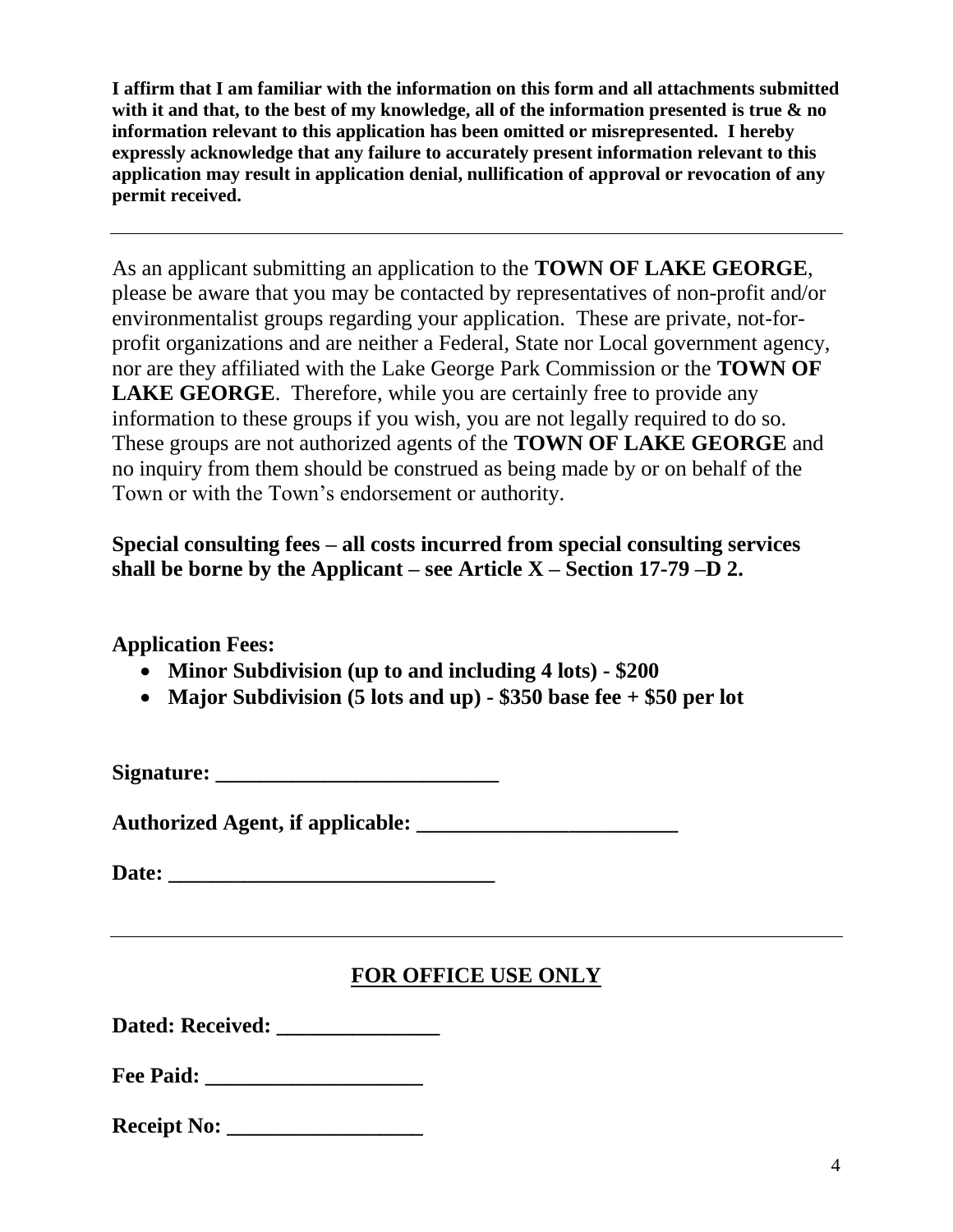**I affirm that I am familiar with the information on this form and all attachments submitted with it and that, to the best of my knowledge, all of the information presented is true & no information relevant to this application has been omitted or misrepresented. I hereby expressly acknowledge that any failure to accurately present information relevant to this application may result in application denial, nullification of approval or revocation of any permit received.**

As an applicant submitting an application to the **TOWN OF LAKE GEORGE**, please be aware that you may be contacted by representatives of non-profit and/or environmentalist groups regarding your application. These are private, not-forprofit organizations and are neither a Federal, State nor Local government agency, nor are they affiliated with the Lake George Park Commission or the **TOWN OF LAKE GEORGE**. Therefore, while you are certainly free to provide any information to these groups if you wish, you are not legally required to do so. These groups are not authorized agents of the **TOWN OF LAKE GEORGE** and no inquiry from them should be construed as being made by or on behalf of the Town or with the Town's endorsement or authority.

## **Special consulting fees – all costs incurred from special consulting services shall be borne by the Applicant – see Article X – Section 17-79 –D 2.**

**Application Fees:** 

- **Minor Subdivision (up to and including 4 lots) - \$200**
- **Major Subdivision (5 lots and up) - \$350 base fee + \$50 per lot**

**Signature:** 

Authorized Agent, if applicable:

| Date: |  |
|-------|--|
|       |  |

# **FOR OFFICE USE ONLY**

Dated: Received:

| <b>Fee Paid:</b> |
|------------------|
|------------------|

| <b>Receipt No:</b> |  |
|--------------------|--|
|--------------------|--|